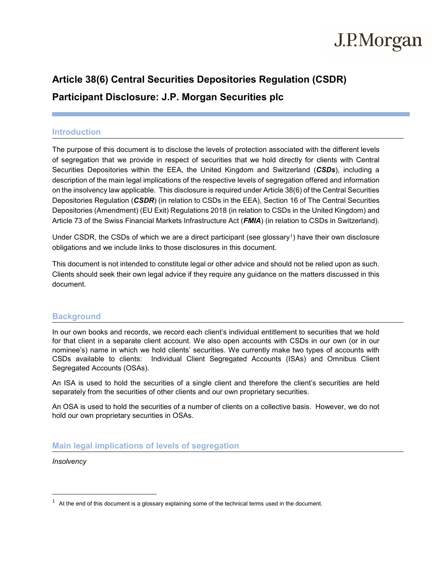# J.P.Morgan

# **Article 38(6) Central Securities Depositories Regulation (CSDR)**

**Participant Disclosure: J.P. Morgan Securities plc**

### **Introduction**

The purpose of this document is to disclose the levels of protection associated with the different levels of segregation that we provide in respect of securities that we hold directly for clients with Central Securities Depositories within the EEA, the United Kingdom and Switzerland (*CSDs*), including a description of the main legal implications of the respective levels of segregation offered and information on the insolvency law applicable. This disclosure is required under Article 38(6) of the Central Securities Depositories Regulation (*CSDR*) (in relation to CSDs in the EEA), Section 16 of The Central Securities Depositories (Amendment) (EU Exit) Regulations 2018 (in relation to CSDs in the United Kingdom) and Article 73 of the Swiss Financial Markets Infrastructure Act (*FMIA*) (in relation to CSDs in Switzerland).

Under CSDR, the CSDs of which we are a direct participant (see glossary<sup>1</sup>) have their own disclosure obligations and we include links to those disclosures in this document.

This document is not intended to constitute legal or other advice and should not be relied upon as such. Clients should seek their own legal advice if they require any guidance on the matters discussed in this document.

### **Background**

In our own books and records, we record each client's individual entitlement to securities that we hold for that client in a separate client account. We also open accounts with CSDs in our own (or in our nominee's) name in which we hold clients' securities. We currently make two types of accounts with CSDs available to clients: Individual Client Segregated Accounts (ISAs) and Omnibus Client Segregated Accounts (OSAs).

An ISA is used to hold the securities of a single client and therefore the client's securities are held separately from the securities of other clients and our own proprietary securities.

An OSA is used to hold the securities of a number of clients on a collective basis. However, we do not hold our own proprietary securities in OSAs.

### **Main legal implications of levels of segregation**

*Insolvency*

<span id="page-0-0"></span> $1$  At the end of this document is a glossary explaining some of the technical terms used in the document.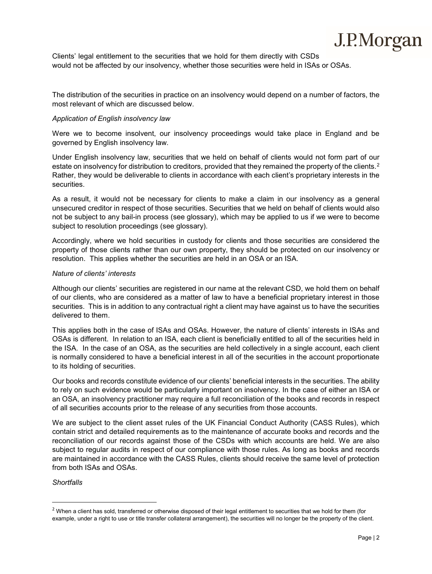Clients' legal entitlement to the securities that we hold for them directly with CSDs would not be affected by our insolvency, whether those securities were held in ISAs or OSAs.

The distribution of the securities in practice on an insolvency would depend on a number of factors, the most relevant of which are discussed below.

#### *Application of English insolvency law*

Were we to become insolvent, our insolvency proceedings would take place in England and be governed by English insolvency law.

Under English insolvency law, securities that we held on behalf of clients would not form part of our estate on insolvency for distribution to creditors, provided that they remained the property of the clients.<sup>[2](#page-1-0)</sup> Rather, they would be deliverable to clients in accordance with each client's proprietary interests in the securities.

As a result, it would not be necessary for clients to make a claim in our insolvency as a general unsecured creditor in respect of those securities. Securities that we held on behalf of clients would also not be subject to any bail-in process (see glossary), which may be applied to us if we were to become subject to resolution proceedings (see glossary).

Accordingly, where we hold securities in custody for clients and those securities are considered the property of those clients rather than our own property, they should be protected on our insolvency or resolution. This applies whether the securities are held in an OSA or an ISA.

#### *Nature of clients' interests*

Although our clients' securities are registered in our name at the relevant CSD, we hold them on behalf of our clients, who are considered as a matter of law to have a beneficial proprietary interest in those securities. This is in addition to any contractual right a client may have against us to have the securities delivered to them.

This applies both in the case of ISAs and OSAs. However, the nature of clients' interests in ISAs and OSAs is different. In relation to an ISA, each client is beneficially entitled to all of the securities held in the ISA. In the case of an OSA, as the securities are held collectively in a single account, each client is normally considered to have a beneficial interest in all of the securities in the account proportionate to its holding of securities.

Our books and records constitute evidence of our clients' beneficial interests in the securities. The ability to rely on such evidence would be particularly important on insolvency. In the case of either an ISA or an OSA, an insolvency practitioner may require a full reconciliation of the books and records in respect of all securities accounts prior to the release of any securities from those accounts.

We are subject to the client asset rules of the UK Financial Conduct Authority (CASS Rules), which contain strict and detailed requirements as to the maintenance of accurate books and records and the reconciliation of our records against those of the CSDs with which accounts are held. We are also subject to regular audits in respect of our compliance with those rules. As long as books and records are maintained in accordance with the CASS Rules, clients should receive the same level of protection from both ISAs and OSAs.

#### *Shortfalls*

<span id="page-1-0"></span><sup>&</sup>lt;sup>2</sup> When a client has sold, transferred or otherwise disposed of their legal entitlement to securities that we hold for them (for example, under a right to use or title transfer collateral arrangement), the securities will no longer be the property of the client.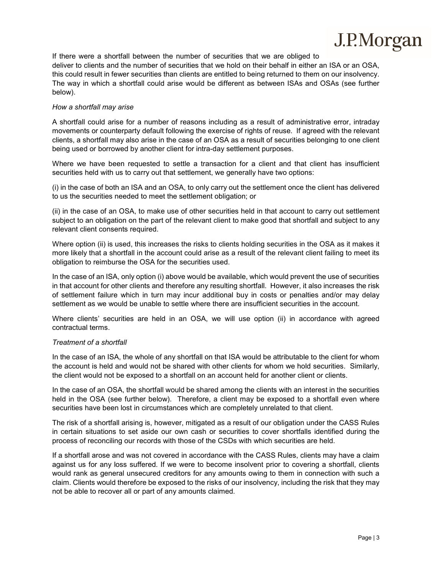

If there were a shortfall between the number of securities that we are obliged to deliver to clients and the number of securities that we hold on their behalf in either an ISA or an OSA, this could result in fewer securities than clients are entitled to being returned to them on our insolvency. The way in which a shortfall could arise would be different as between ISAs and OSAs (see further below).

#### *How a shortfall may arise*

A shortfall could arise for a number of reasons including as a result of administrative error, intraday movements or counterparty default following the exercise of rights of reuse. If agreed with the relevant clients, a shortfall may also arise in the case of an OSA as a result of securities belonging to one client being used or borrowed by another client for intra-day settlement purposes.

Where we have been requested to settle a transaction for a client and that client has insufficient securities held with us to carry out that settlement, we generally have two options:

(i) in the case of both an ISA and an OSA, to only carry out the settlement once the client has delivered to us the securities needed to meet the settlement obligation; or

(ii) in the case of an OSA, to make use of other securities held in that account to carry out settlement subject to an obligation on the part of the relevant client to make good that shortfall and subject to any relevant client consents required.

Where option (ii) is used, this increases the risks to clients holding securities in the OSA as it makes it more likely that a shortfall in the account could arise as a result of the relevant client failing to meet its obligation to reimburse the OSA for the securities used.

In the case of an ISA, only option (i) above would be available, which would prevent the use of securities in that account for other clients and therefore any resulting shortfall. However, it also increases the risk of settlement failure which in turn may incur additional buy in costs or penalties and/or may delay settlement as we would be unable to settle where there are insufficient securities in the account.

Where clients' securities are held in an OSA, we will use option (ii) in accordance with agreed contractual terms.

#### *Treatment of a shortfall*

In the case of an ISA, the whole of any shortfall on that ISA would be attributable to the client for whom the account is held and would not be shared with other clients for whom we hold securities. Similarly, the client would not be exposed to a shortfall on an account held for another client or clients.

In the case of an OSA, the shortfall would be shared among the clients with an interest in the securities held in the OSA (see further below). Therefore, a client may be exposed to a shortfall even where securities have been lost in circumstances which are completely unrelated to that client.

The risk of a shortfall arising is, however, mitigated as a result of our obligation under the CASS Rules in certain situations to set aside our own cash or securities to cover shortfalls identified during the process of reconciling our records with those of the CSDs with which securities are held.

If a shortfall arose and was not covered in accordance with the CASS Rules, clients may have a claim against us for any loss suffered. If we were to become insolvent prior to covering a shortfall, clients would rank as general unsecured creditors for any amounts owing to them in connection with such a claim. Clients would therefore be exposed to the risks of our insolvency, including the risk that they may not be able to recover all or part of any amounts claimed.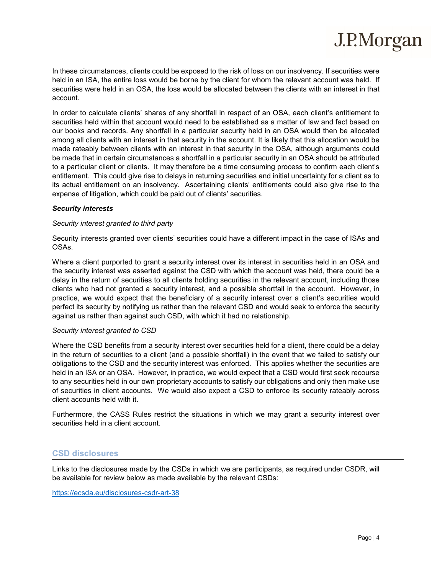In these circumstances, clients could be exposed to the risk of loss on our insolvency. If securities were held in an ISA, the entire loss would be borne by the client for whom the relevant account was held. If securities were held in an OSA, the loss would be allocated between the clients with an interest in that account.

In order to calculate clients' shares of any shortfall in respect of an OSA, each client's entitlement to securities held within that account would need to be established as a matter of law and fact based on our books and records. Any shortfall in a particular security held in an OSA would then be allocated among all clients with an interest in that security in the account. It is likely that this allocation would be made rateably between clients with an interest in that security in the OSA, although arguments could be made that in certain circumstances a shortfall in a particular security in an OSA should be attributed to a particular client or clients. It may therefore be a time consuming process to confirm each client's entitlement. This could give rise to delays in returning securities and initial uncertainty for a client as to its actual entitlement on an insolvency. Ascertaining clients' entitlements could also give rise to the expense of litigation, which could be paid out of clients' securities.

#### *Security interests*

#### *Security interest granted to third party*

Security interests granted over clients' securities could have a different impact in the case of ISAs and OSAs.

Where a client purported to grant a security interest over its interest in securities held in an OSA and the security interest was asserted against the CSD with which the account was held, there could be a delay in the return of securities to all clients holding securities in the relevant account, including those clients who had not granted a security interest, and a possible shortfall in the account. However, in practice, we would expect that the beneficiary of a security interest over a client's securities would perfect its security by notifying us rather than the relevant CSD and would seek to enforce the security against us rather than against such CSD, with which it had no relationship.

#### *Security interest granted to CSD*

Where the CSD benefits from a security interest over securities held for a client, there could be a delay in the return of securities to a client (and a possible shortfall) in the event that we failed to satisfy our obligations to the CSD and the security interest was enforced. This applies whether the securities are held in an ISA or an OSA. However, in practice, we would expect that a CSD would first seek recourse to any securities held in our own proprietary accounts to satisfy our obligations and only then make use of securities in client accounts. We would also expect a CSD to enforce its security rateably across client accounts held with it.

Furthermore, the CASS Rules restrict the situations in which we may grant a security interest over securities held in a client account.

#### **CSD disclosures**

Links to the disclosures made by the CSDs in which we are participants, as required under CSDR, will be available for review below as made available by the relevant CSDs:

<https://ecsda.eu/disclosures-csdr-art-38>

J.P.Morgan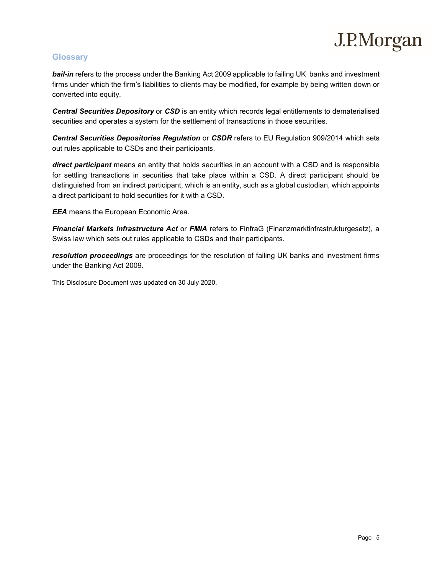# J.P.Morgan

## **Glossary**

*bail-in* refers to the process under the Banking Act 2009 applicable to failing UK banks and investment firms under which the firm's liabilities to clients may be modified, for example by being written down or converted into equity.

*Central Securities Depository* or *CSD* is an entity which records legal entitlements to dematerialised securities and operates a system for the settlement of transactions in those securities.

*Central Securities Depositories Regulation* or *CSDR* refers to EU Regulation 909/2014 which sets out rules applicable to CSDs and their participants.

*direct participant* means an entity that holds securities in an account with a CSD and is responsible for settling transactions in securities that take place within a CSD. A direct participant should be distinguished from an indirect participant, which is an entity, such as a global custodian, which appoints a direct participant to hold securities for it with a CSD.

*EEA* means the European Economic Area.

*Financial Markets Infrastructure Act* or *FMIA* refers to FinfraG (Finanzmarktinfrastrukturgesetz), a Swiss law which sets out rules applicable to CSDs and their participants.

*resolution proceedings* are proceedings for the resolution of failing UK banks and investment firms under the Banking Act 2009.

This Disclosure Document was updated on 30 July 2020.